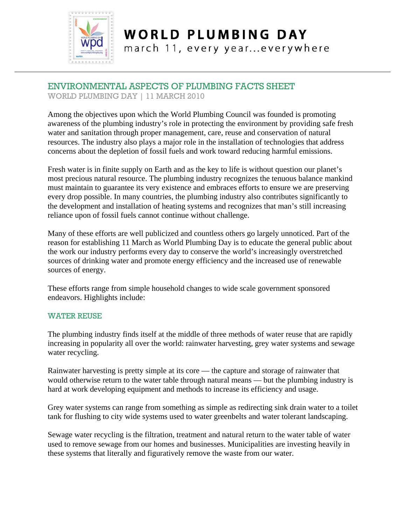

### **WORLD PLUMBING DAY** march 11, every year...everywhere

## ENVIRONMENTAL ASPECTS OF PLUMBING FACTS SHEET

WORLD PLUMBING DAY | 11 MARCH 2010

Among the objectives upon which the World Plumbing Council was founded is promoting awareness of the plumbing industry's role in protecting the environment by providing safe fresh water and sanitation through proper management, care, reuse and conservation of natural resources. The industry also plays a major role in the installation of technologies that address concerns about the depletion of fossil fuels and work toward reducing harmful emissions.

Fresh water is in finite supply on Earth and as the key to life is without question our planet's most precious natural resource. The plumbing industry recognizes the tenuous balance mankind must maintain to guarantee its very existence and embraces efforts to ensure we are preserving every drop possible. In many countries, the plumbing industry also contributes significantly to the development and installation of heating systems and recognizes that man's still increasing reliance upon of fossil fuels cannot continue without challenge.

Many of these efforts are well publicized and countless others go largely unnoticed. Part of the reason for establishing 11 March as World Plumbing Day is to educate the general public about the work our industry performs every day to conserve the world's increasingly overstretched sources of drinking water and promote energy efficiency and the increased use of renewable sources of energy.

These efforts range from simple household changes to wide scale government sponsored endeavors. Highlights include:

### WATER REUSE

The plumbing industry finds itself at the middle of three methods of water reuse that are rapidly increasing in popularity all over the world: rainwater harvesting, grey water systems and sewage water recycling.

Rainwater harvesting is pretty simple at its core — the capture and storage of rainwater that would otherwise return to the water table through natural means — but the plumbing industry is hard at work developing equipment and methods to increase its efficiency and usage.

Grey water systems can range from something as simple as redirecting sink drain water to a toilet tank for flushing to city wide systems used to water greenbelts and water tolerant landscaping.

Sewage water recycling is the filtration, treatment and natural return to the water table of water used to remove sewage from our homes and businesses. Municipalities are investing heavily in these systems that literally and figuratively remove the waste from our water.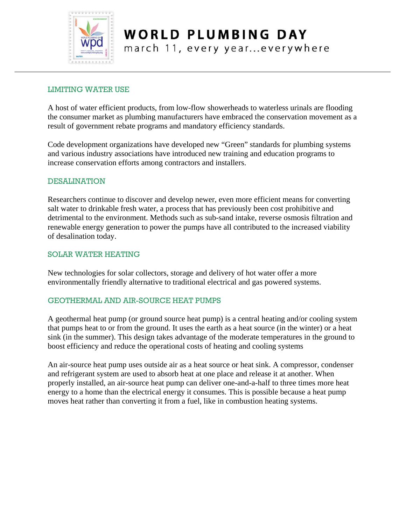

# **WORLD PLUMBING DAY**

march 11, every year...everywhere

#### LIMITING WATER USE

A host of water efficient products, from low-flow showerheads to waterless urinals are flooding the consumer market as plumbing manufacturers have embraced the conservation movement as a result of government rebate programs and mandatory efficiency standards.

Code development organizations have developed new "Green" standards for plumbing systems and various industry associations have introduced new training and education programs to increase conservation efforts among contractors and installers.

#### DESALINATION

Researchers continue to discover and develop newer, even more efficient means for converting salt water to drinkable fresh water, a process that has previously been cost prohibitive and detrimental to the environment. Methods such as sub-sand intake, reverse osmosis filtration and renewable energy generation to power the pumps have all contributed to the increased viability of desalination today.

#### SOLAR WATER HEATING

New technologies for solar collectors, storage and delivery of hot water offer a more environmentally friendly alternative to traditional electrical and gas powered systems.

#### GEOTHERMAL AND AIR-SOURCE HEAT PUMPS

A geothermal heat pump (or ground source heat pump) is a central heating and/or cooling system that pumps heat to or from the ground. It uses the earth as a heat source (in the winter) or a heat sink (in the summer). This design takes advantage of the moderate temperatures in the ground to boost efficiency and reduce the operational costs of heating and cooling systems

An air-source heat pump uses outside air as a heat source or heat sink. A compressor, condenser and refrigerant system are used to absorb heat at one place and release it at another. When properly installed, an air-source heat pump can deliver one-and-a-half to three times more heat energy to a home than the electrical energy it consumes. This is possible because a heat pump moves heat rather than converting it from a fuel, like in combustion heating systems.